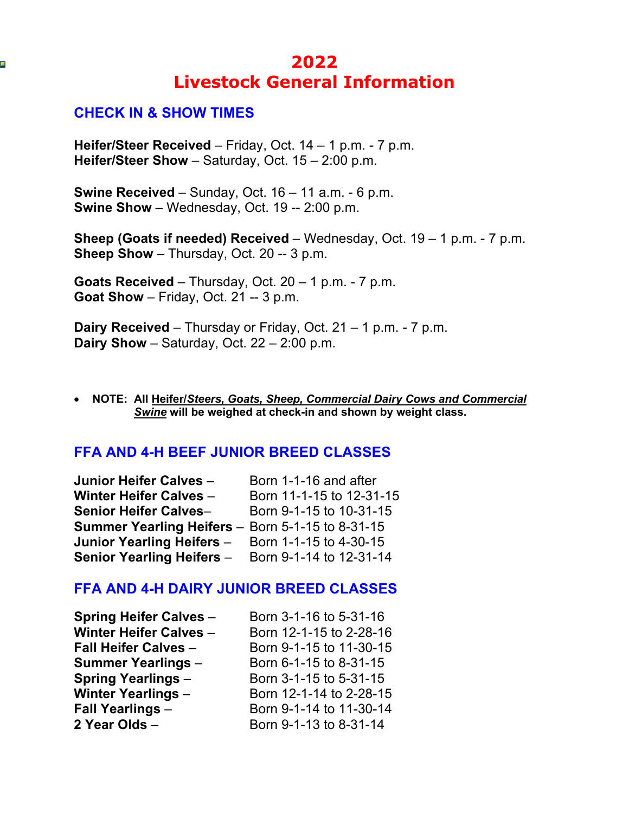# **2022 Livestock General Information**

### **CHECK IN & SHOW TIMES**

Ţ.

**Heifer/Steer Received** – Friday, Oct. 14 – 1 p.m. - 7 p.m. **Heifer/Steer Show** – Saturday, Oct. 15 – 2:00 p.m.

**Swine Received** – Sunday, Oct. 16 – 11 a.m. - 6 p.m. **Swine Show** – Wednesday, Oct. 19 -- 2:00 p.m.

**Sheep (Goats if needed) Received** – Wednesday, Oct. 19 – 1 p.m. - 7 p.m. **Sheep Show** – Thursday, Oct. 20 -- 3 p.m.

**Goats Received** – Thursday, Oct. 20 – 1 p.m. - 7 p.m. **Goat Show** – Friday, Oct. 21 -- 3 p.m.

**Dairy Received** – Thursday or Friday, Oct. 21 – 1 p.m. - 7 p.m. **Dairy Show** – Saturday, Oct. 22 – 2:00 p.m.

• **NOTE: All Heifer/***Steers, Goats, Sheep, Commercial Dairy Cows and Commercial Swine* **will be weighed at check-in and shown by weight class.**

#### **FFA AND 4-H BEEF JUNIOR BREED CLASSES**

| Junior Heifer Calves -                                  | Born 1-1-16 and after    |
|---------------------------------------------------------|--------------------------|
| <b>Winter Heifer Calves -</b>                           | Born 11-1-15 to 12-31-15 |
| <b>Senior Heifer Calves-</b>                            | Born 9-1-15 to 10-31-15  |
| <b>Summer Yearling Heifers</b> – Born 5-1-15 to 8-31-15 |                          |
| Junior Yearling Heifers -                               | Born 1-1-15 to 4-30-15   |
| Senior Yearling Heifers - Born 9-1-14 to 12-31-14       |                          |

#### **FFA AND 4-H DAIRY JUNIOR BREED CLASSES**

| Born 3-1-16 to 5-31-16  |
|-------------------------|
| Born 12-1-15 to 2-28-16 |
| Born 9-1-15 to 11-30-15 |
| Born 6-1-15 to 8-31-15  |
| Born 3-1-15 to 5-31-15  |
| Born 12-1-14 to 2-28-15 |
| Born 9-1-14 to 11-30-14 |
| Born 9-1-13 to 8-31-14  |
|                         |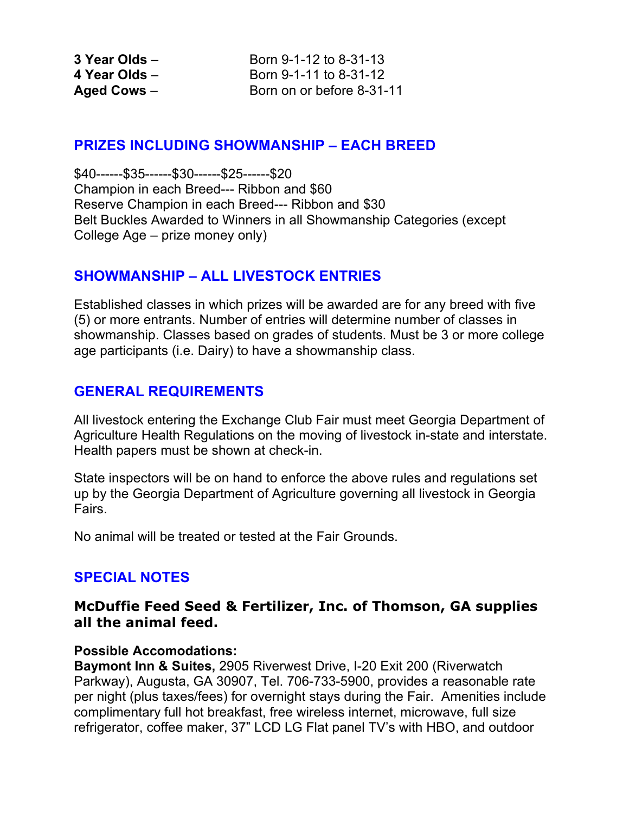**3 Year Olds** – **Born 9-1-12 to 8-31-13 4 Year Olds** – Born 9-1-11 to 8-31-12 Aged Cows – Born on or before 8-31-11

### **PRIZES INCLUDING SHOWMANSHIP – EACH BREED**

\$40------\$35------\$30------\$25------\$20 Champion in each Breed--- Ribbon and \$60 Reserve Champion in each Breed--- Ribbon and \$30 Belt Buckles Awarded to Winners in all Showmanship Categories (except College Age – prize money only)

# **SHOWMANSHIP – ALL LIVESTOCK ENTRIES**

Established classes in which prizes will be awarded are for any breed with five (5) or more entrants. Number of entries will determine number of classes in showmanship. Classes based on grades of students. Must be 3 or more college age participants (i.e. Dairy) to have a showmanship class.

# **GENERAL REQUIREMENTS**

All livestock entering the Exchange Club Fair must meet Georgia Department of Agriculture Health Regulations on the moving of livestock in-state and interstate. Health papers must be shown at check-in.

State inspectors will be on hand to enforce the above rules and regulations set up by the Georgia Department of Agriculture governing all livestock in Georgia Fairs.

No animal will be treated or tested at the Fair Grounds.

# **SPECIAL NOTES**

### **McDuffie Feed Seed & Fertilizer, Inc. of Thomson, GA supplies all the animal feed.**

#### **Possible Accomodations:**

**Baymont Inn & Suites,** 2905 Riverwest Drive, I-20 Exit 200 (Riverwatch Parkway), Augusta, GA 30907, Tel. 706-733-5900, provides a reasonable rate per night (plus taxes/fees) for overnight stays during the Fair. Amenities include complimentary full hot breakfast, free wireless internet, microwave, full size refrigerator, coffee maker, 37" LCD LG Flat panel TV's with HBO, and outdoor